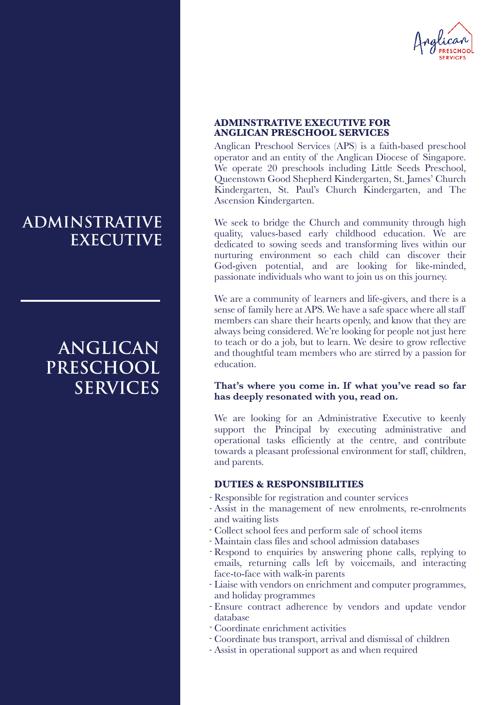

## Anglican Preschool Services (APS) is a faith-based preschool **ANGLICAN PRESCHOOL SERVICES**

**ADMINSTRATIVE EXECUTIVE FOR** 

operator and an entity of the Anglican Diocese of Singapore. We operate 20 preschools including Little Seeds Preschool, Queenstown Good Shepherd Kindergarten, St. James' Church Kindergarten, St. Paul's Church Kindergarten, and The Ascension Kindergarten.

We seek to bridge the Church and community through high quality, values-based early childhood education. We are dedicated to sowing seeds and transforming lives within our nurturing environment so each child can discover their God-given potential, and are looking for like-minded, passionate individuals who want to join us on this journey.

We are a community of learners and life-givers, and there is a sense of family here at APS. We have a safe space where all staff members can share their hearts openly, and know that they are always being considered. We're looking for people not just here to teach or do a job, but to learn. We desire to grow reflective and thoughtful team members who are stirred by a passion for education.

**That's where you come in. If what you've read so far has deeply resonated with you, read on.**

We are looking for an Administrative Executive to keenly support the Principal by executing administrative and operational tasks efficiently at the centre, and contribute towards a pleasant professional environment for staff, children, and parents.

### **DUTIES & RESPONSIBILITIES**

- Responsible for registration and counter services -
- Assist in the management of new enrolments, re-enrolments and waiting lists
- Collect school fees and perform sale of school items -
- Maintain class files and school admission databases -
- Respond to enquiries by answering phone calls, replying to emails, returning calls left by voicemails, and interacting face-to-face with walk-in parents
- Liaise with vendors on enrichment and computer programmes, and holiday programmes
- Ensure contract adherence by vendors and update vendor database
- Coordinate enrichment activities -
- Coordinate bus transport, arrival and dismissal of children -
- Assist in operational support as and when required -

## **ADMINSTRATIVE EXECUTIVE**

# **ANGLICAN PRESCHOOL SERVICES**